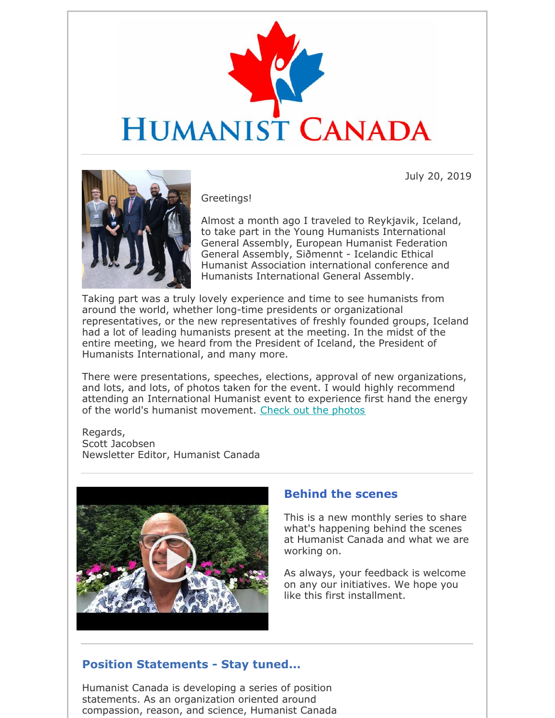

July 20, 2019



Greetings!

Almost a month ago I traveled to Reykjavik, Iceland, to take part in the Young Humanists International General Assembly, European Humanist Federation General Assembly, Siðmennt - Icelandic Ethical Humanist Association international conference and Humanists International General Assembly.

Taking part was a truly lovely experience and time to see humanists from around the world, whether long-time presidents or organizational representatives, or the new representatives of freshly founded groups, Iceland had a lot of leading humanists present at the meeting. In the midst of the entire meeting, we heard from the President of Iceland, the President of Humanists International, and many more.

There were presentations, speeches, elections, approval of new organizations, and lots, and lots, of photos taken for the event. I would highly recommend attending an International Humanist event to experience first hand the energy of the world's humanist movement. Check out the photos

#### Regards, Scott Jacobsen Newsletter Editor, Humanist Canada



### **Behind the scenes**

This is a new monthly series to share what's happening behind the scenes at Humanist Canada and what we are working on.

As always, your feedback is welcome on any our initiatives. We hope you like this first installment.

## **Position Statements - Stay tuned...**

Humanist Canada is developing a series of position statements. As an organization oriented around compassion, reason, and science, Humanist Canada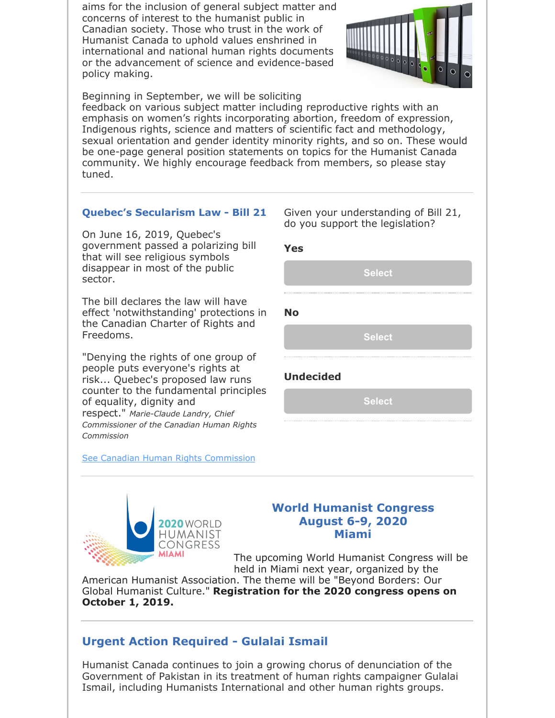aims for the inclusion of general subject matter and concerns of interest to the humanist public in Canadian society. Those who trust in the work of Humanist Canada to uphold values enshrined in international and national human rights documents or the advancement of science and evidence-based policy making.



Beginning in September, we will be soliciting

feedback on various subject matter including reproductive rights with an emphasis on women's rights incorporating abortion, freedom of expression, Indigenous rights, science and matters of scientific fact and methodology, sexual orientation and gender identity minority rights, and so on. These would be one-page general position statements on topics for the Humanist Canada community. We highly encourage feedback from members, so please stay tuned.

#### **Quebec's Secularism Law - Bill 21**

On June 16, 2019, Quebec's government passed a polarizing bill that will see religious symbols disappear in most of the public sector.

The bill declares the law will have effect 'notwithstanding' protections in the Canadian Charter of Rights and Freedoms.

"Denying the rights of one group of people puts everyone's rights at risk... Quebec's proposed law runs counter to the fundamental principles of equality, dignity and respect." *Marie-Claude Landry, Chief Commissioner of the Canadian Human Rights Commission*

See Canadian Human Rights Commission

**MIAMI** 

**2020** WORLD HUMANIST **CONGRESS** 

Given your understanding of Bill 21, do you support the legislation?

| <b>Yes</b>       |               |  |
|------------------|---------------|--|
|                  | <b>Select</b> |  |
|                  |               |  |
| <b>No</b>        |               |  |
|                  | <b>Select</b> |  |
|                  |               |  |
| <b>Undecided</b> |               |  |

**Select**

#### **World Humanist Congress August 6-9, 2020 Miami**

The upcoming World Humanist Congress will be held in Miami next year, organized by the

American Humanist Association. The theme will be "Beyond Borders: Our Global Humanist Culture." **Registration for the 2020 congress opens on October 1, 2019.**

## **Urgent Action Required - Gulalai Ismail**

Humanist Canada continues to join a growing chorus of denunciation of the Government of Pakistan in its treatment of human rights campaigner Gulalai Ismail, including Humanists International and other human rights groups.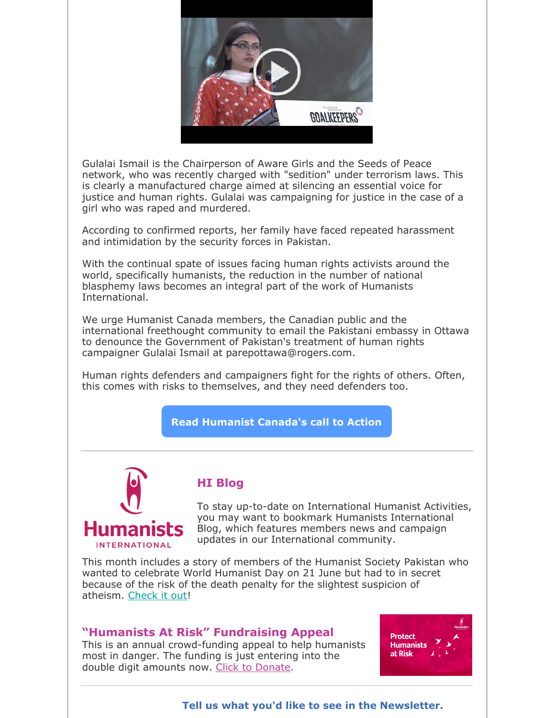

Gulalai Ismail is the Chairperson of Aware Girls and the Seeds of Peace network, who was recently charged with "sedition" under terrorism laws. This is clearly a manufactured charge aimed at silencing an essential voice for justice and human rights. Gulalai was campaigning for justice in the case of a girl who was raped and murdered.

According to confirmed reports, her family have faced repeated harassment and intimidation by the security forces in Pakistan.

With the continual spate of issues facing human rights activists around the world, specifically humanists, the reduction in the number of national blasphemy laws becomes an integral part of the work of Humanists International.

We urge Humanist Canada members, the Canadian public and the international freethought community to email the Pakistani embassy in Ottawa to denounce the Government of Pakistan's treatment of human rights campaigner Gulalai Ismail at parepottawa@rogers.com.

Human rights defenders and campaigners fight for the rights of others. Often, this comes with risks to themselves, and they need defenders too.

**Read Humanist Canada's call to Action**



## **HI Blog**

To stay up-to-date on International Humanist Activities, you may want to bookmark Humanists International Blog, which features members news and campaign updates in our International community.

This month includes a story of members of the Humanist Society Pakistan who wanted to celebrate World Humanist Day on 21 June but had to in secret because of the risk of the death penalty for the slightest suspicion of atheism. Check it out!

#### **"Humanists At Risk" Fundraising Appeal**

This is an annual crowd-funding appeal to help humanists most in danger. The funding is just entering into the double digit amounts now. Click to Donate.



**Tell us what you'd like to see in the Newsletter.**